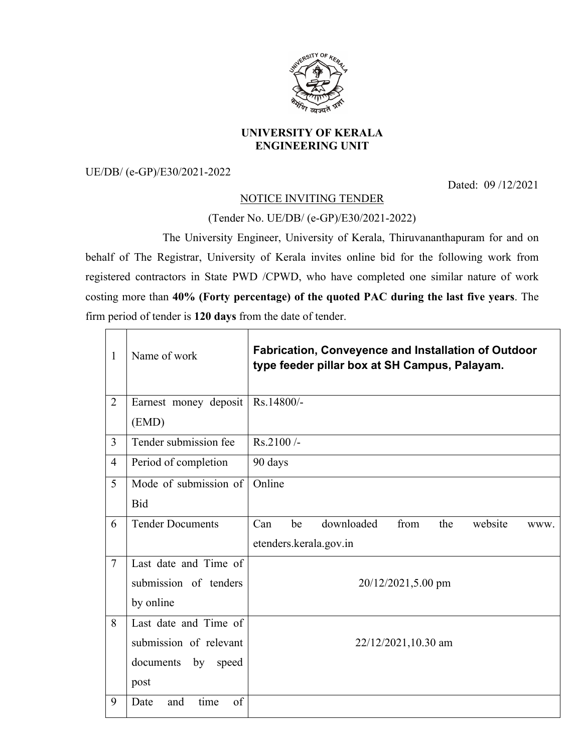

## **UNIVERSITY OF KERALA ENGINEERING UNIT**

UE/DB/ (e-GP)/E30/2021-2022

Dated: 09 /12/2021

## NOTICE INVITING TENDER

(Tender No. UE/DB/ (e-GP)/E30/2021-2022)

The University Engineer, University of Kerala, Thiruvananthapuram for and on behalf of The Registrar, University of Kerala invites online bid for the following work from registered contractors in State PWD /CPWD, who have completed one similar nature of work costing more than **40% (Forty percentage) of the quoted PAC during the last five years**. The firm period of tender is **120 days** from the date of tender.

| $\mathbf{1}$   | Name of work              | <b>Fabrication, Conveyence and Installation of Outdoor</b><br>type feeder pillar box at SH Campus, Palayam. |  |  |
|----------------|---------------------------|-------------------------------------------------------------------------------------------------------------|--|--|
| $\overline{2}$ | Earnest money deposit     | Rs.14800/-                                                                                                  |  |  |
|                | (EMD)                     |                                                                                                             |  |  |
| 3              | Tender submission fee     | Rs.2100/-                                                                                                   |  |  |
| $\overline{4}$ | Period of completion      | 90 days                                                                                                     |  |  |
| 5              | Mode of submission of     | Online                                                                                                      |  |  |
|                | <b>Bid</b>                |                                                                                                             |  |  |
| 6              | <b>Tender Documents</b>   | downloaded<br>from<br>website<br>Can<br>be<br>the<br>WWW.                                                   |  |  |
|                |                           | etenders.kerala.gov.in                                                                                      |  |  |
| $\overline{7}$ | Last date and Time of     |                                                                                                             |  |  |
|                | submission of tenders     | 20/12/2021,5.00 pm                                                                                          |  |  |
|                | by online                 |                                                                                                             |  |  |
| 8              | Last date and Time of     |                                                                                                             |  |  |
|                | submission of relevant    | 22/12/2021,10.30 am                                                                                         |  |  |
|                | documents<br>by<br>speed  |                                                                                                             |  |  |
|                | post                      |                                                                                                             |  |  |
| 9              | time<br>of<br>Date<br>and |                                                                                                             |  |  |
|                |                           |                                                                                                             |  |  |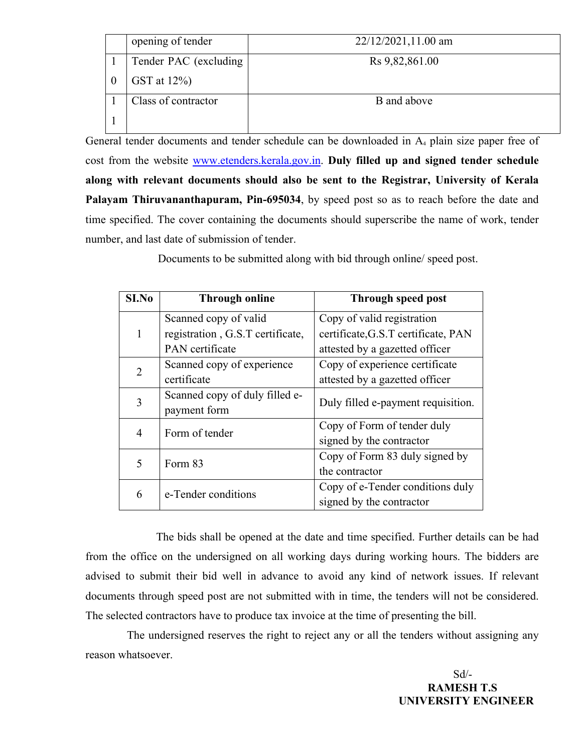|          | opening of tender      | $22/12/2021, 11.00$ am |
|----------|------------------------|------------------------|
|          | Tender PAC (excluding) | Rs 9,82,861.00         |
| $\theta$ | GST at $12\%$ )        |                        |
|          | Class of contractor    | B and above            |
|          |                        |                        |

General tender documents and tender schedule can be downloaded in A<sub>4</sub> plain size paper free of cost from the website www.etenders.kerala.gov.in. **Duly filled up and signed tender schedule along with relevant documents should also be sent to the Registrar, University of Kerala Palayam Thiruvananthapuram, Pin-695034**, by speed post so as to reach before the date and time specified. The cover containing the documents should superscribe the name of work, tender number, and last date of submission of tender.

Documents to be submitted along with bid through online/ speed post.

| S <sub>I.No</sub> | <b>Through online</b>            | <b>Through speed post</b>           |
|-------------------|----------------------------------|-------------------------------------|
|                   | Scanned copy of valid            | Copy of valid registration          |
|                   | registration, G.S.T certificate, | certificate, G.S.T certificate, PAN |
|                   | PAN certificate                  | attested by a gazetted officer      |
| 2                 | Scanned copy of experience       | Copy of experience certificate      |
|                   | certificate                      | attested by a gazetted officer      |
| 3                 | Scanned copy of duly filled e-   | Duly filled e-payment requisition.  |
|                   | payment form                     |                                     |
| 4                 | Form of tender                   | Copy of Form of tender duly         |
|                   |                                  | signed by the contractor            |
| 5                 | Form 83                          | Copy of Form 83 duly signed by      |
|                   |                                  | the contractor                      |
| 6                 | e-Tender conditions              | Copy of e-Tender conditions duly    |
|                   |                                  | signed by the contractor            |

The bids shall be opened at the date and time specified. Further details can be had from the office on the undersigned on all working days during working hours. The bidders are advised to submit their bid well in advance to avoid any kind of network issues. If relevant documents through speed post are not submitted with in time, the tenders will not be considered. The selected contractors have to produce tax invoice at the time of presenting the bill.

The undersigned reserves the right to reject any or all the tenders without assigning any reason whatsoever.

 Sd/- **RAMESH T.S UNIVERSITY ENGINEER**